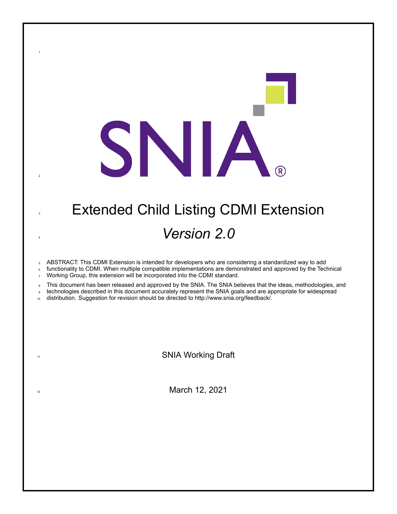| <b>Extended Child Listing CDMI Extension</b> |
|----------------------------------------------|
| <i>Version 2.0</i>                           |

SNIA.

ABSTRACT: This CDMI Extension is intended for developers who are considering a standardized way to add

 functionality to CDMI. When multiple compatible implementations are demonstrated and approved by the Technical 7 Working Group, this extension will be incorporated into the CDMI standard.

8 This document has been released and approved by the SNIA. The SNIA believes that the ideas, methodologies, and

technologies described in this document accurately represent the SNIA goals and are appropriate for widespread

distribution. Suggestion for revision should be directed to http://www.snia.org/feedback/.

11 SNIA Working Draft

12 March 12, 2021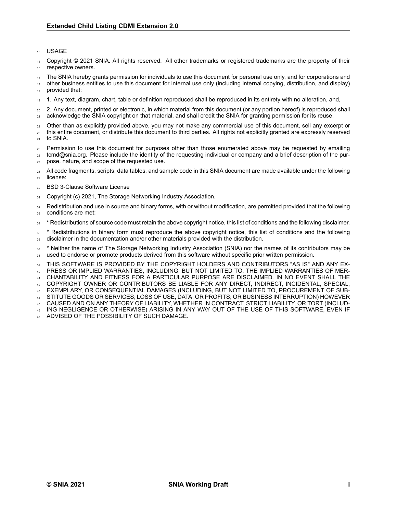#### <sup>13</sup> USAGE

Copyright © 2021 SNIA. All rights reserved. All other trademarks or registered trademarks are the property of their 15 respective owners.

<sup>16</sup> The SNIA hereby grants permission for individuals to use this document for personal use only, and for corporations and

<sup>17</sup> other business entities to use this document for internal use only (including internal copying, distribution, and display) provided that:

<sup>19</sup> 1. Any text, diagram, chart, table or definition reproduced shall be reproduced in its entirety with no alteration, and,

<sup>20</sup> 2. Any document, printed or electronic, in which material from this document (or any portion hereof) is reproduced shall <sub>21</sub> acknowledge the SNIA copyright on that material, and shall credit the SNIA for granting permission for its reuse.

- <sub>22</sub> Other than as explicitly provided above, you may not make any commercial use of this document, sell any excerpt or <sup>23</sup> this entire document, or distribute this document to third parties. All rights not explicitly granted are expressly reserved
- <sup>24</sup> to SNIA.
- <sup>25</sup> Permission to use this document for purposes other than those enumerated above may be requested by emailing <sup>26</sup> tcmd@snia.org. Please include the identity of the requesting individual or company and a brief description of the pur-
- <sup>27</sup> pose, nature, and scope of the requested use.
- 28 All code fragments, scripts, data tables, and sample code in this SNIA document are made available under the following <sup>29</sup> license:
- 30 BSD 3-Clause Software License
- 31 Copyright (c) 2021, The Storage Networking Industry Association.
- <sup>32</sup> Redistribution and use in source and binary forms, with or without modification, are permitted provided that the following 33 conditions are met:
- <sup>34</sup> \* Redistributions of source code must retain the above copyright notice, this list of conditions and the following disclaimer.
- <sup>35</sup> \* Redistributions in binary form must reproduce the above copyright notice, this list of conditions and the following <sup>36</sup> disclaimer in the documentation and/or other materials provided with the distribution.

<sup>37</sup> \* Neither the name of The Storage Networking Industry Association (SNIA) nor the names of its contributors may be <sup>38</sup> used to endorse or promote products derived from this software without specific prior written permission.

<sup>39</sup> THIS SOFTWARE IS PROVIDED BY THE COPYRIGHT HOLDERS AND CONTRIBUTORS "AS IS" AND ANY EX-<sup>40</sup> PRESS OR IMPLIED WARRANTIES, INCLUDING, BUT NOT LIMITED TO, THE IMPLIED WARRANTIES OF MER-

<sup>41</sup> CHANTABILITY AND FITNESS FOR A PARTICULAR PURPOSE ARE DISCLAIMED. IN NO EVENT SHALL THE

<sup>42</sup> COPYRIGHT OWNER OR CONTRIBUTORS BE LIABLE FOR ANY DIRECT, INDIRECT, INCIDENTAL, SPECIAL,

- <sup>43</sup> EXEMPLARY, OR CONSEQUENTIAL DAMAGES (INCLUDING, BUT NOT LIMITED TO, PROCUREMENT OF SUB-
- <sup>44</sup> STITUTE GOODS OR SERVICES; LOSS OF USE, DATA, OR PROFITS; OR BUSINESS INTERRUPTION) HOWEVER
- <sup>45</sup> CAUSED AND ON ANY THEORY OF LIABILITY, WHETHER IN CONTRACT, STRICT LIABILITY, OR TORT (INCLUD-<sup>46</sup> ING NEGLIGENCE OR OTHERWISE) ARISING IN ANY WAY OUT OF THE USE OF THIS SOFTWARE, EVEN IF
- ADVISED OF THE POSSIBILITY OF SUCH DAMAGE.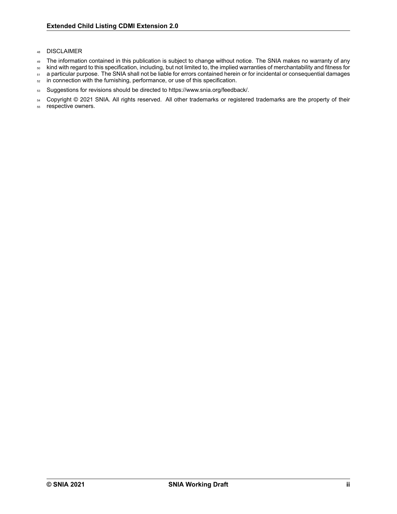### <sup>48</sup> DISCLAIMER

- 49 The information contained in this publication is subject to change without notice. The SNIA makes no warranty of any
- <sup>50</sup> kind with regard to this specification, including, but not limited to, the implied warranties of merchantability and fitness for
- 51 a particular purpose. The SNIA shall not be liable for errors contained herein or for incidental or consequential damages
- 52 in connection with the furnishing, performance, or use of this specification.
- 53 Suggestions for revisions should be directed to https://www.snia.org/feedback/.
- 54 Copyright © 2021 SNIA. All rights reserved. All other trademarks or registered trademarks are the property of their
- <sup>55</sup> respective owners.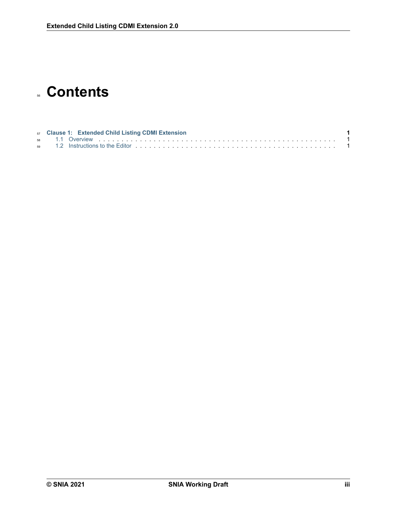# **Contents**

|  | 57 Clause 1: Extended Child Listing CDMI Extension |  |
|--|----------------------------------------------------|--|
|  |                                                    |  |
|  |                                                    |  |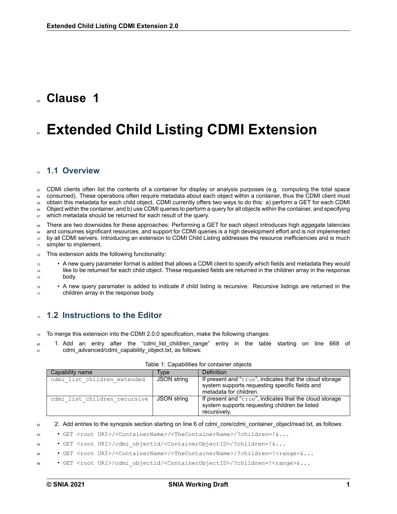# <span id="page-4-0"></span><sup>60</sup> **Clause 1**

# **Extended Child Listing CDMI Extension**

### <span id="page-4-1"></span><sup>62</sup> **1.1 Overview**

<sup>63</sup> CDMI clients often list the contents of a container for display or analysis purposes (e.g. computing the total space 64 consumed). These operations often require metadata about each object within a container, thus the CDMI client must 65 obtain this metadata for each child object. CDMI currently offers two ways to do this: a) perform a GET for each CDMI <sup>66</sup> Object within the container, and b) use CDMI queries to perform a query for all objects within the container, and specifying

67 which metadata should be returned for each result of the query.

There are two downsides for these approaches: Performing a GET for each object introduces high aggegate latencies 69 and consumes significant resources, and support for CDMI queries is a high development effort and is not implemented

 $\sigma$  by all CDMI servers. Introducing an extension to CDMI Child Listing addresses the resource inefficiencies and is much  $71$  simpler to implement.

 $72$  This extension adds the following functionality:

- $\bullet$  A new query parameter format is added that allows a CDMI client to specify which fields and metadata they would  $74$  like to be returned for each child object. These requested fields are returned in the children array in the response <sup>75</sup> body.
- $\bullet$  A new query paramater is added to indicate if child listing is recursive. Recursive listings are returned in the  $77$  children array in the response body.

## <span id="page-4-2"></span><sup>78</sup> **1.2 Instructions to the Editor**

 $79$  To merge this extension into the CDMI 2.0.0 specification, make the following changes:

1. Add an entry after the "cdmi-list children-range" entry in the table starting on line 668 of 81 cdmi\_advanced/cdmi\_capability\_object.txt, as follows:

| Capability name              | <b>Type</b> | <b>Definition</b>                                                                                                                   |
|------------------------------|-------------|-------------------------------------------------------------------------------------------------------------------------------------|
| cdmi list children extended  | JSON string | If present and "true", indicates that the cloud storage<br>system supports requesting specific fields and<br>metadata for children. |
| cdmi list children recursive | JSON string | If present and "true", indicates that the cloud storage<br>system supports requesting children be listed<br>recursively.            |

#### Table 1: Capabilities for container objects

<sup>82</sup> 2. Add entries to the synopsis section starting on line 6 of cdmi\_core/cdmi\_container\_object/read.txt, as follows:

<sup>83</sup> • GET <root URI>/<ContainerName>/<TheContainerName>/?children=!&...

<sup>84</sup> • GET <root URI>/cdmi\_objectid/<ContainerObjectID>/?children=!&...

• GET <root URI>/<ContainerName>/<TheContainerName>/?children=!<range>&...

<sup>86</sup> • GET <root URI>/cdmi\_objectid/<ContainerObjectID>/?children=!<range>&...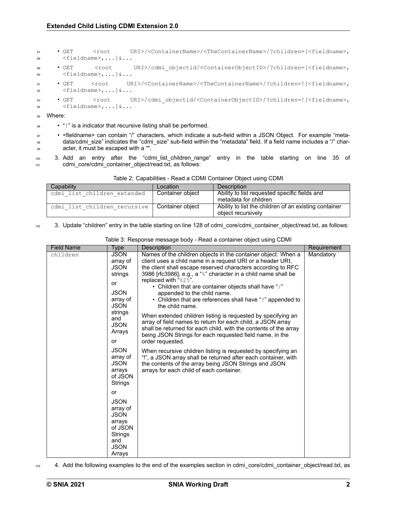• GET <root URI>/<ContainerName>/<TheContainerName>/?children=[<fieldname>, 88 <fieldname>,...] &... • GET <root URI>/cdmi\_objectid/<ContainerObjectID>/?children=[<fieldname>, <fieldname>,...]&... 91 • GET <root URI>/<ContainerName>/<TheContainerName>/?children=![<fieldname>, <fieldname>,...]&... • GET <root URI>/cdmi\_objectid/<ContainerObjectID>/?children=![<fieldname>, <fieldname>,...]&...

95 Where:

96 • "!" is a indicator that recursive listing shall be performed.

97 • <fieldname> can contain "/" characters, which indicate a sub-field within a JSON Object. For example "meta-<sup>98</sup> data/cdmi size" indicates the "cdmi size" sub-field within the "metadata" field. If a field name includes a "/" char-<sup>99</sup> acter, it must be escaped with a "".

<sup>100</sup> 3. Add an entry after the "cdmi\_list\_children\_range" entry in the table starting on line 35 of <sup>101</sup> cdmi\_core/cdmi\_container\_object/read.txt, as follows:

| Table 2: Capabilities - Read a CDMI Container Object using CDMI |  |  |  |  |  |
|-----------------------------------------------------------------|--|--|--|--|--|
|-----------------------------------------------------------------|--|--|--|--|--|

| Capability                   | Location         | Description                                                                 |
|------------------------------|------------------|-----------------------------------------------------------------------------|
| cdmi list children extended  | Container object | Ability to list requested specific fields and<br>metadata for children      |
| cdmi list children recursive | Container object | Ability to list the children of an existing container<br>object recursively |

102 3. Update "children" entry in the table starting on line 128 of cdmi\_core/cdmi\_container\_object/read.txt, as follows:

| <b>Field Name</b> | Type                                                                                                                                                                                                                                                                                                                                                | Description                                                                                                                                                                                                                                                                                                                                                                                                                                                                                                                                                                                                                                                                                                                                                                                                                                                                                                                                                                             | Requirement |
|-------------------|-----------------------------------------------------------------------------------------------------------------------------------------------------------------------------------------------------------------------------------------------------------------------------------------------------------------------------------------------------|-----------------------------------------------------------------------------------------------------------------------------------------------------------------------------------------------------------------------------------------------------------------------------------------------------------------------------------------------------------------------------------------------------------------------------------------------------------------------------------------------------------------------------------------------------------------------------------------------------------------------------------------------------------------------------------------------------------------------------------------------------------------------------------------------------------------------------------------------------------------------------------------------------------------------------------------------------------------------------------------|-------------|
| children          | <b>JSON</b><br>array of<br><b>JSON</b><br>strings<br>or<br><b>JSON</b><br>array of<br><b>JSON</b><br>strings<br>and<br><b>JSON</b><br>Arrays<br>or<br><b>JSON</b><br>array of<br><b>JSON</b><br>arrays<br>of JSON<br>Strings<br>or<br><b>JSON</b><br>array of<br><b>JSON</b><br>arrays<br>of JSON<br><b>Strings</b><br>and<br><b>JSON</b><br>Arrays | Names of the children objects in the container object. When a<br>client uses a child name in a request URI or a header URI,<br>the client shall escape reserved characters according to RFC<br>3986 [rfc3986], e.g., a "%" character in a child name shall be<br>replaced with "%25".<br>• Children that are container objects shall have "/"<br>appended to the child name.<br>• Children that are references shall have "?" appended to<br>the child name.<br>When extended children listing is requested by specifying an<br>array of field names to return for each child, a JSON array<br>shall be returned for each child, with the contents of the array<br>being JSON Strings for each requested field name, in the<br>order requested.<br>When recursive children listing is requested by specifying an<br>"!", a JSON array shall be returned after each container, with<br>the contents of the array being JSON Strings and JSON<br>arrays for each child of each container. | Mandatory   |

Table 3: Response message body - Read a container object using CDMI

103 4. Add the following examples to the end of the examples section in cdmi\_core/cdmi\_container\_object/read.txt, as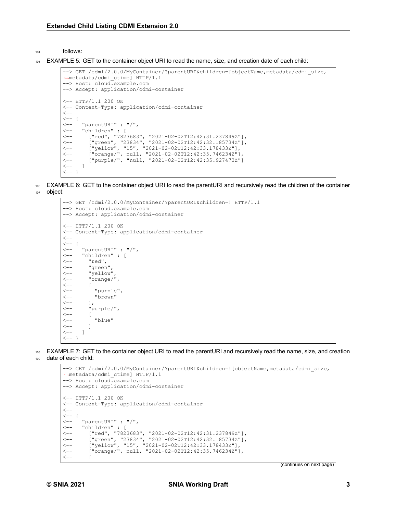<sup>104</sup> follows:

EXAMPLE 5: GET to the container object URI to read the name, size, and creation date of each child:

```
--> GET /cdmi/2.0.0/MyContainer/?parentURI&children=[objectName,metadata/cdmi_size,
,→metadata/cdmi_ctime] HTTP/1.1
--> Host: cloud.example.com
--> Accept: application/cdmi-container
<- HTTP/1.1 200 OK
<-- Content-Type: application/cdmi-container
\lt - -<br><--<br><--<br><---\langle -- \rangle "parentURI" : "/",<br>\langle -- \rangle "children" : [
      < "children" : [
< ["red", "7823683", "20210202T12:42:31.237849Z"],
<-- ["green", "23834", "2021-02-02T12:42:32.185734Z"],
<-- ["yellow", "15", "2021-02-02T12:42:33.178433Z"],
<-- ["orange/", null, "2021-02-02T12:42:35.746234Z"],
< ["purple/", "null, "20210202T12:42:35.927473Z"]
\leftarrow - 1
\left\{ - - | \right\}
```
<sup>106</sup> EXAMPLE 6: GET to the container object URI to read the parentURI and recursively read the children of the container <sup>107</sup> object:

```
--> GET /cdmi/2.0.0/MyContainer/?parentURI&children=! HTTP/1.1
--> Host: cloud.example.com
--> Accept: application/cdmi-container
<-- HTTP/1.1 200 OK
<-- Content-Type: application/cdmi-container
\lt - -<\!\!- -\quad \{< "parentURI" : "/",
         "children" : [
<-- "red",<br><-- "red",
             < "green",
<-- "yellow"<br><-- "orange/
             < "orange/",
<\!\!- -\qquad \qquad [\;\;<-- "purple",<br><-- "brown"
              < "brown"
\begin{array}{cc} \leftarrow & & \\ \leftarrow & & \\ \leftarrow & & \end{array} \begin{array}{c} \leftarrow \\ \leftarrow \\ \leftarrow \\ \end{array}< "purple/",
\langle -- |<br>\langle -- |< "blue"
\leftarrow - ]
\leftarrow - ]
\leftarrow - - }
```
<sup>108</sup> EXAMPLE 7: GET to the container object URI to read the parentURI and recursively read the name, size, and creation <sup>109</sup> date of each child:

```
--> GET /cdmi/2.0.0/MyContainer/?parentURI&children=![objectName,metadata/cdmi size,
,→metadata/cdmi_ctime] HTTP/1.1
--> Host: cloud.example.com
--> Accept: application/cdmi-container
<- HTTP/1.1 200 OK
<-- Content-Type: application/cdmi-container
\lt - -
<br>< - -<br>\{ < - -< "parentURI" : "/",
< "children" : [
< ["red", "7823683", "20210202T12:42:31.237849Z"],
<-- ["green", "23834", "2021-02-02T12:42:32.185734Z"],
<-- ["yellow", "15", "2021-02-02T12:42:33.178433Z"],
( compared to the contract of the contract of the contract of the contract of the contract of the contract of the contract of the contract of the contract of the contract of the contract of the contract of the contract of 
\ensuremath{<}\xspace-\xspace-
```
(continues on next page)